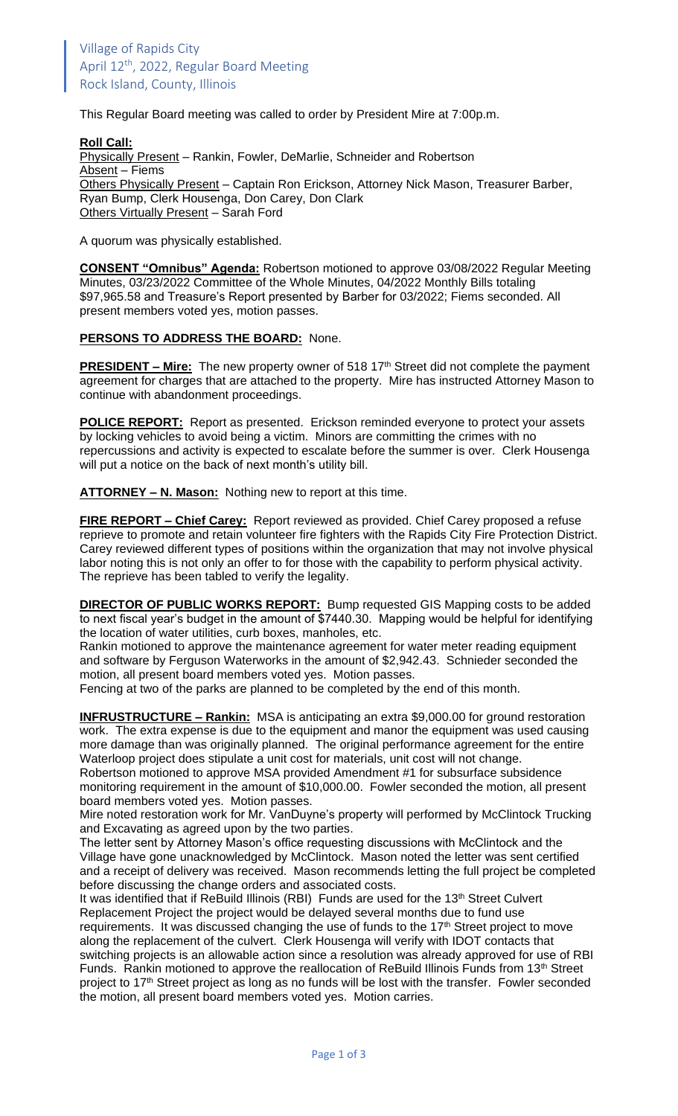This Regular Board meeting was called to order by President Mire at 7:00p.m.

**Roll Call:** Physically Present – Rankin, Fowler, DeMarlie, Schneider and Robertson Absent – Fiems Others Physically Present – Captain Ron Erickson, Attorney Nick Mason, Treasurer Barber, Ryan Bump, Clerk Housenga, Don Carey, Don Clark Others Virtually Present – Sarah Ford

A quorum was physically established.

**CONSENT "Omnibus" Agenda:** Robertson motioned to approve 03/08/2022 Regular Meeting Minutes, 03/23/2022 Committee of the Whole Minutes, 04/2022 Monthly Bills totaling \$97,965.58 and Treasure's Report presented by Barber for 03/2022; Fiems seconded. All present members voted yes, motion passes.

### **PERSONS TO ADDRESS THE BOARD:** None.

**PRESIDENT – Mire:** The new property owner of 518 17<sup>th</sup> Street did not complete the payment agreement for charges that are attached to the property. Mire has instructed Attorney Mason to continue with abandonment proceedings.

**POLICE REPORT:** Report as presented. Erickson reminded everyone to protect your assets by locking vehicles to avoid being a victim. Minors are committing the crimes with no repercussions and activity is expected to escalate before the summer is over. Clerk Housenga will put a notice on the back of next month's utility bill.

**ATTORNEY – N. Mason:** Nothing new to report at this time.

**FIRE REPORT – Chief Carey:** Report reviewed as provided. Chief Carey proposed a refuse reprieve to promote and retain volunteer fire fighters with the Rapids City Fire Protection District. Carey reviewed different types of positions within the organization that may not involve physical labor noting this is not only an offer to for those with the capability to perform physical activity. The reprieve has been tabled to verify the legality.

**DIRECTOR OF PUBLIC WORKS REPORT:** Bump requested GIS Mapping costs to be added to next fiscal year's budget in the amount of \$7440.30. Mapping would be helpful for identifying the location of water utilities, curb boxes, manholes, etc.

Rankin motioned to approve the maintenance agreement for water meter reading equipment and software by Ferguson Waterworks in the amount of \$2,942.43. Schnieder seconded the motion, all present board members voted yes. Motion passes.

Fencing at two of the parks are planned to be completed by the end of this month.

**INFRUSTRUCTURE – Rankin:** MSA is anticipating an extra \$9,000.00 for ground restoration work. The extra expense is due to the equipment and manor the equipment was used causing more damage than was originally planned. The original performance agreement for the entire Waterloop project does stipulate a unit cost for materials, unit cost will not change.

Robertson motioned to approve MSA provided Amendment #1 for subsurface subsidence monitoring requirement in the amount of \$10,000.00. Fowler seconded the motion, all present board members voted yes. Motion passes.

Mire noted restoration work for Mr. VanDuyne's property will performed by McClintock Trucking and Excavating as agreed upon by the two parties.

The letter sent by Attorney Mason's office requesting discussions with McClintock and the Village have gone unacknowledged by McClintock. Mason noted the letter was sent certified and a receipt of delivery was received. Mason recommends letting the full project be completed before discussing the change orders and associated costs.

It was identified that if ReBuild Illinois (RBI) Funds are used for the 13<sup>th</sup> Street Culvert Replacement Project the project would be delayed several months due to fund use requirements. It was discussed changing the use of funds to the 17<sup>th</sup> Street project to move along the replacement of the culvert. Clerk Housenga will verify with IDOT contacts that switching projects is an allowable action since a resolution was already approved for use of RBI Funds. Rankin motioned to approve the reallocation of ReBuild Illinois Funds from 13<sup>th</sup> Street project to 17<sup>th</sup> Street project as long as no funds will be lost with the transfer. Fowler seconded the motion, all present board members voted yes. Motion carries.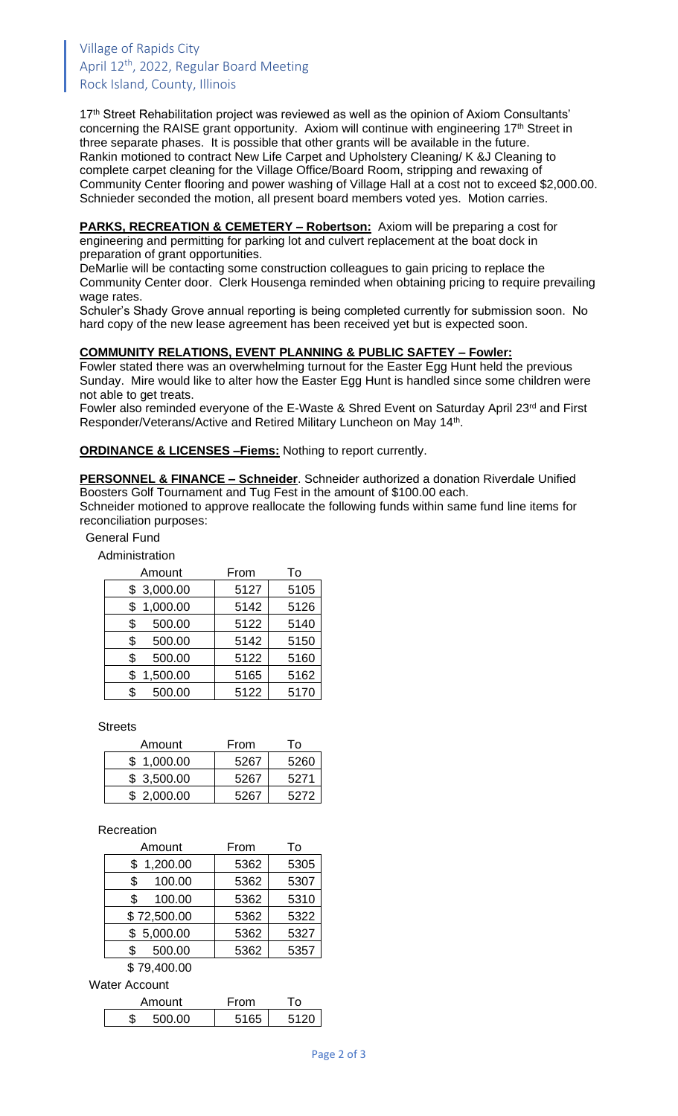## Village of Rapids City April 12<sup>th</sup>, 2022, Regular Board Meeting Rock Island, County, Illinois

17<sup>th</sup> Street Rehabilitation project was reviewed as well as the opinion of Axiom Consultants' concerning the RAISE grant opportunity. Axiom will continue with engineering 17<sup>th</sup> Street in three separate phases. It is possible that other grants will be available in the future. Rankin motioned to contract New Life Carpet and Upholstery Cleaning/ K &J Cleaning to complete carpet cleaning for the Village Office/Board Room, stripping and rewaxing of Community Center flooring and power washing of Village Hall at a cost not to exceed \$2,000.00. Schnieder seconded the motion, all present board members voted yes. Motion carries.

**PARKS, RECREATION & CEMETERY – Robertson:** Axiom will be preparing a cost for engineering and permitting for parking lot and culvert replacement at the boat dock in preparation of grant opportunities.

DeMarlie will be contacting some construction colleagues to gain pricing to replace the Community Center door. Clerk Housenga reminded when obtaining pricing to require prevailing wage rates.

Schuler's Shady Grove annual reporting is being completed currently for submission soon. No hard copy of the new lease agreement has been received yet but is expected soon.

### **COMMUNITY RELATIONS, EVENT PLANNING & PUBLIC SAFTEY – Fowler:**

Fowler stated there was an overwhelming turnout for the Easter Egg Hunt held the previous Sunday. Mire would like to alter how the Easter Egg Hunt is handled since some children were not able to get treats.

Fowler also reminded everyone of the E-Waste & Shred Event on Saturday April 23<sup>rd</sup> and First Responder/Veterans/Active and Retired Military Luncheon on May 14<sup>th</sup>.

**ORDINANCE & LICENSES –Fiems:** Nothing to report currently.

**PERSONNEL & FINANCE – Schneider**. Schneider authorized a donation Riverdale Unified Boosters Golf Tournament and Tug Fest in the amount of \$100.00 each. Schneider motioned to approve reallocate the following funds within same fund line items for reconciliation purposes:

#### General Fund

Administration

| Amount         | From | To   |
|----------------|------|------|
| \$3,000.00     | 5127 | 5105 |
| 1,000.00<br>\$ | 5142 | 5126 |
| 500.00<br>\$   | 5122 | 5140 |
| 500.00<br>\$   | 5142 | 5150 |
| 500.00<br>\$   | 5122 | 5160 |
| 1,500.00<br>\$ | 5165 | 5162 |
| 500.00<br>\$   | 5122 | 5170 |

**Streets** 

| Amount     | From | Т٥   |
|------------|------|------|
| \$1.000.00 | 5267 | 5260 |
| \$3,500.00 | 5267 | 5271 |
| \$2,000.00 | 5267 | 5272 |

#### Recreation

| Amount         | From | То   |
|----------------|------|------|
| 1,200.00<br>\$ | 5362 | 5305 |
| 100.00<br>\$   | 5362 | 5307 |
| 100.00<br>\$   | 5362 | 5310 |
| \$72,500.00    | 5362 | 5322 |
| \$5,000.00     | 5362 | 5327 |
| 500.00<br>\$   | 5362 | 5357 |

\$ 79,400.00

Water Account

| Amount | From |      |
|--------|------|------|
| 500.00 | 5165 | 5120 |